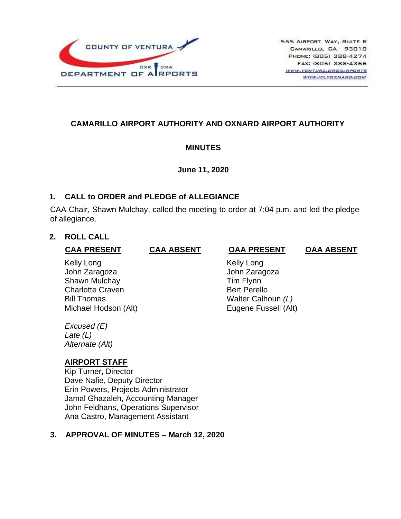

# **CAMARILLO AIRPORT AUTHORITY AND OXNARD AIRPORT AUTHORITY**

#### **MINUTES**

**June 11, 2020**

#### **1. CALL to ORDER and PLEDGE of ALLEGIANCE**

CAA Chair, Shawn Mulchay, called the meeting to order at 7:04 p.m. and led the pledge of allegiance.

## **2. ROLL CALL**

### **CAA PRESENT CAA ABSENT OAA PRESENT OAA ABSENT**

Kelly Long **Kelly Long** John Zaragoza John Zaragoza Shawn Mulchay **Tim Flynn** Charlotte Craven **Bert Perello** Bill Thomas Walter Calhoun *(L)* Michael Hodson (Alt) Eugene Fussell (Alt)

*Excused (E) Late (L) Alternate (Alt)*

# **AIRPORT STAFF**

Kip Turner, Director Dave Nafie, Deputy Director Erin Powers, Projects Administrator Jamal Ghazaleh, Accounting Manager John Feldhans, Operations Supervisor Ana Castro, Management Assistant

# **3. APPROVAL OF MINUTES – March 12, 2020**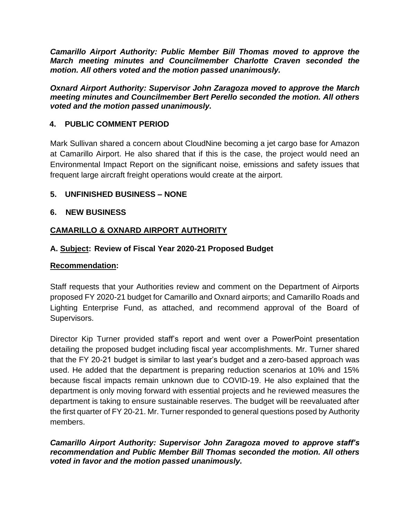*Camarillo Airport Authority: Public Member Bill Thomas moved to approve the March meeting minutes and Councilmember Charlotte Craven seconded the motion. All others voted and the motion passed unanimously.*

*Oxnard Airport Authority: Supervisor John Zaragoza moved to approve the March meeting minutes and Councilmember Bert Perello seconded the motion. All others voted and the motion passed unanimously.*

# **4. PUBLIC COMMENT PERIOD**

Mark Sullivan shared a concern about CloudNine becoming a jet cargo base for Amazon at Camarillo Airport. He also shared that if this is the case, the project would need an Environmental Impact Report on the significant noise, emissions and safety issues that frequent large aircraft freight operations would create at the airport.

# **5. UNFINISHED BUSINESS – NONE**

# **6. NEW BUSINESS**

# **CAMARILLO & OXNARD AIRPORT AUTHORITY**

# **A. Subject: Review of Fiscal Year 2020-21 Proposed Budget**

#### **Recommendation:**

Staff requests that your Authorities review and comment on the Department of Airports proposed FY 2020-21 budget for Camarillo and Oxnard airports; and Camarillo Roads and Lighting Enterprise Fund, as attached, and recommend approval of the Board of Supervisors.

Director Kip Turner provided staff's report and went over a PowerPoint presentation detailing the proposed budget including fiscal year accomplishments. Mr. Turner shared that the FY 20-21 budget is similar to last year's budget and a zero-based approach was used. He added that the department is preparing reduction scenarios at 10% and 15% because fiscal impacts remain unknown due to COVID-19. He also explained that the department is only moving forward with essential projects and he reviewed measures the department is taking to ensure sustainable reserves. The budget will be reevaluated after the first quarter of FY 20-21. Mr. Turner responded to general questions posed by Authority members.

#### *Camarillo Airport Authority: Supervisor John Zaragoza moved to approve staff's recommendation and Public Member Bill Thomas seconded the motion. All others voted in favor and the motion passed unanimously.*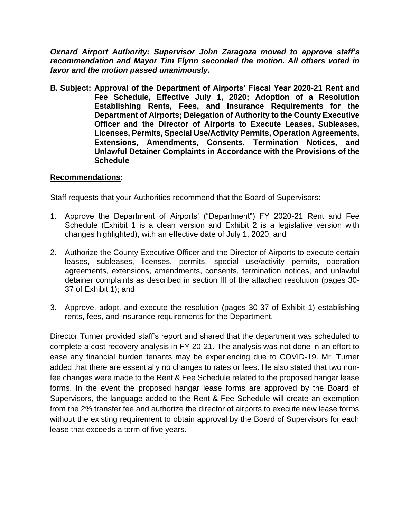*Oxnard Airport Authority: Supervisor John Zaragoza moved to approve staff's recommendation and Mayor Tim Flynn seconded the motion. All others voted in favor and the motion passed unanimously.*

**B. Subject: Approval of the Department of Airports' Fiscal Year 2020-21 Rent and Fee Schedule, Effective July 1, 2020; Adoption of a Resolution Establishing Rents, Fees, and Insurance Requirements for the Department of Airports; Delegation of Authority to the County Executive Officer and the Director of Airports to Execute Leases, Subleases, Licenses, Permits, Special Use/Activity Permits, Operation Agreements, Extensions, Amendments, Consents, Termination Notices, and Unlawful Detainer Complaints in Accordance with the Provisions of the Schedule**

## **Recommendations:**

Staff requests that your Authorities recommend that the Board of Supervisors:

- 1. Approve the Department of Airports' ("Department") FY 2020-21 Rent and Fee Schedule (Exhibit 1 is a clean version and Exhibit 2 is a legislative version with changes highlighted), with an effective date of July 1, 2020; and
- 2. Authorize the County Executive Officer and the Director of Airports to execute certain leases, subleases, licenses, permits, special use/activity permits, operation agreements, extensions, amendments, consents, termination notices, and unlawful detainer complaints as described in section III of the attached resolution (pages 30- 37 of Exhibit 1); and
- 3. Approve, adopt, and execute the resolution (pages 30-37 of Exhibit 1) establishing rents, fees, and insurance requirements for the Department.

Director Turner provided staff's report and shared that the department was scheduled to complete a cost-recovery analysis in FY 20-21. The analysis was not done in an effort to ease any financial burden tenants may be experiencing due to COVID-19. Mr. Turner added that there are essentially no changes to rates or fees. He also stated that two nonfee changes were made to the Rent & Fee Schedule related to the proposed hangar lease forms. In the event the proposed hangar lease forms are approved by the Board of Supervisors, the language added to the Rent & Fee Schedule will create an exemption from the 2% transfer fee and authorize the director of airports to execute new lease forms without the existing requirement to obtain approval by the Board of Supervisors for each lease that exceeds a term of five years.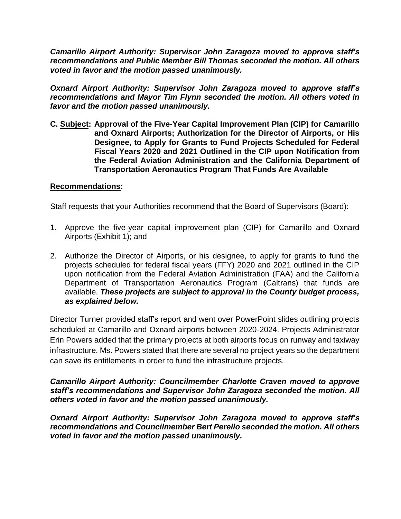*Camarillo Airport Authority: Supervisor John Zaragoza moved to approve staff's recommendations and Public Member Bill Thomas seconded the motion. All others voted in favor and the motion passed unanimously.*

*Oxnard Airport Authority: Supervisor John Zaragoza moved to approve staff's recommendations and Mayor Tim Flynn seconded the motion. All others voted in favor and the motion passed unanimously.*

**C. Subject: Approval of the Five-Year Capital Improvement Plan (CIP) for Camarillo and Oxnard Airports; Authorization for the Director of Airports, or His Designee, to Apply for Grants to Fund Projects Scheduled for Federal Fiscal Years 2020 and 2021 Outlined in the CIP upon Notification from the Federal Aviation Administration and the California Department of Transportation Aeronautics Program That Funds Are Available**

#### **Recommendations:**

Staff requests that your Authorities recommend that the Board of Supervisors (Board):

- 1. Approve the five-year capital improvement plan (CIP) for Camarillo and Oxnard Airports (Exhibit 1); and
- 2. Authorize the Director of Airports, or his designee, to apply for grants to fund the projects scheduled for federal fiscal years (FFY) 2020 and 2021 outlined in the CIP upon notification from the Federal Aviation Administration (FAA) and the California Department of Transportation Aeronautics Program (Caltrans) that funds are available. *These projects are subject to approval in the County budget process, as explained below.*

Director Turner provided staff's report and went over PowerPoint slides outlining projects scheduled at Camarillo and Oxnard airports between 2020-2024. Projects Administrator Erin Powers added that the primary projects at both airports focus on runway and taxiway infrastructure. Ms. Powers stated that there are several no project years so the department can save its entitlements in order to fund the infrastructure projects.

#### *Camarillo Airport Authority: Councilmember Charlotte Craven moved to approve staff's recommendations and Supervisor John Zaragoza seconded the motion. All others voted in favor and the motion passed unanimously.*

*Oxnard Airport Authority: Supervisor John Zaragoza moved to approve staff's recommendations and Councilmember Bert Perello seconded the motion. All others voted in favor and the motion passed unanimously.*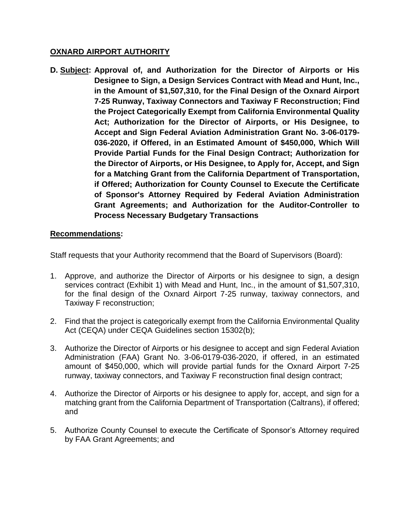## **OXNARD AIRPORT AUTHORITY**

**D. Subject: Approval of, and Authorization for the Director of Airports or His Designee to Sign, a Design Services Contract with Mead and Hunt, Inc., in the Amount of \$1,507,310, for the Final Design of the Oxnard Airport 7-25 Runway, Taxiway Connectors and Taxiway F Reconstruction; Find the Project Categorically Exempt from California Environmental Quality Act; Authorization for the Director of Airports, or His Designee, to Accept and Sign Federal Aviation Administration Grant No. 3-06-0179- 036-2020, if Offered, in an Estimated Amount of \$450,000, Which Will Provide Partial Funds for the Final Design Contract; Authorization for the Director of Airports, or His Designee, to Apply for, Accept, and Sign for a Matching Grant from the California Department of Transportation, if Offered; Authorization for County Counsel to Execute the Certificate of Sponsor's Attorney Required by Federal Aviation Administration Grant Agreements; and Authorization for the Auditor-Controller to Process Necessary Budgetary Transactions**

## **Recommendations:**

Staff requests that your Authority recommend that the Board of Supervisors (Board):

- 1. Approve, and authorize the Director of Airports or his designee to sign, a design services contract (Exhibit 1) with Mead and Hunt, Inc., in the amount of \$1,507,310, for the final design of the Oxnard Airport 7-25 runway, taxiway connectors, and Taxiway F reconstruction;
- 2. Find that the project is categorically exempt from the California Environmental Quality Act (CEQA) under CEQA Guidelines section 15302(b);
- 3. Authorize the Director of Airports or his designee to accept and sign Federal Aviation Administration (FAA) Grant No. 3-06-0179-036-2020, if offered, in an estimated amount of \$450,000, which will provide partial funds for the Oxnard Airport 7-25 runway, taxiway connectors, and Taxiway F reconstruction final design contract;
- 4. Authorize the Director of Airports or his designee to apply for, accept, and sign for a matching grant from the California Department of Transportation (Caltrans), if offered; and
- 5. Authorize County Counsel to execute the Certificate of Sponsor's Attorney required by FAA Grant Agreements; and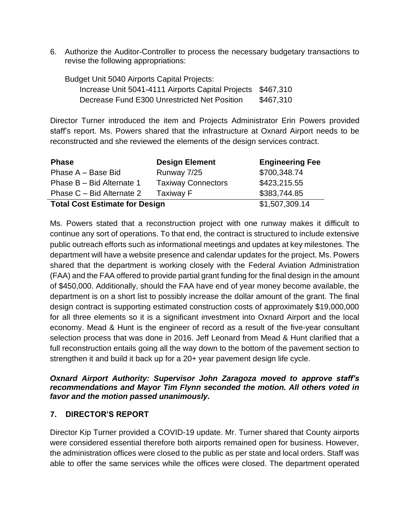6. Authorize the Auditor-Controller to process the necessary budgetary transactions to revise the following appropriations:

Budget Unit 5040 Airports Capital Projects: Increase Unit 5041-4111 Airports Capital Projects \$467,310 Decrease Fund E300 Unrestricted Net Position \$467,310

Director Turner introduced the item and Projects Administrator Erin Powers provided staff's report. Ms. Powers shared that the infrastructure at Oxnard Airport needs to be reconstructed and she reviewed the elements of the design services contract.

| <b>Phase</b>                          | <b>Design Element</b>     | <b>Engineering Fee</b> |
|---------------------------------------|---------------------------|------------------------|
| Phase A - Base Bid                    | Runway 7/25               | \$700,348.74           |
| Phase B - Bid Alternate 1             | <b>Taxiway Connectors</b> | \$423,215.55           |
| Phase C – Bid Alternate 2             | <b>Taxiway F</b>          | \$383,744.85           |
| <b>Total Cost Estimate for Design</b> |                           | \$1,507,309.14         |

Ms. Powers stated that a reconstruction project with one runway makes it difficult to continue any sort of operations. To that end, the contract is structured to include extensive public outreach efforts such as informational meetings and updates at key milestones. The department will have a website presence and calendar updates for the project. Ms. Powers shared that the department is working closely with the Federal Aviation Administration (FAA) and the FAA offered to provide partial grant funding for the final design in the amount of \$450,000. Additionally, should the FAA have end of year money become available, the department is on a short list to possibly increase the dollar amount of the grant. The final design contract is supporting estimated construction costs of approximately \$19,000,000 for all three elements so it is a significant investment into Oxnard Airport and the local economy. Mead & Hunt is the engineer of record as a result of the five-year consultant selection process that was done in 2016. Jeff Leonard from Mead & Hunt clarified that a full reconstruction entails going all the way down to the bottom of the pavement section to strengthen it and build it back up for a 20+ year pavement design life cycle.

#### *Oxnard Airport Authority: Supervisor John Zaragoza moved to approve staff's recommendations and Mayor Tim Flynn seconded the motion. All others voted in favor and the motion passed unanimously.*

# **7. DIRECTOR'S REPORT**

Director Kip Turner provided a COVID-19 update. Mr. Turner shared that County airports were considered essential therefore both airports remained open for business. However, the administration offices were closed to the public as per state and local orders. Staff was able to offer the same services while the offices were closed. The department operated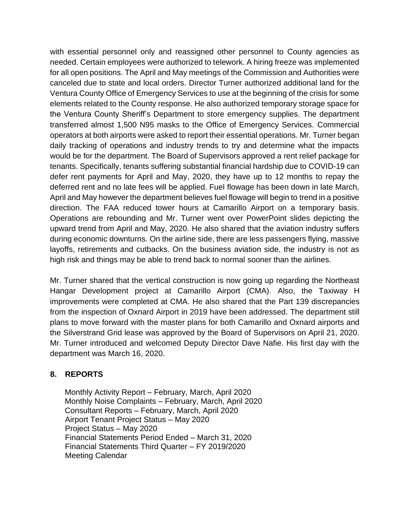with essential personnel only and reassigned other personnel to County agencies as needed. Certain employees were authorized to telework. A hiring freeze was implemented for all open positions. The April and May meetings of the Commission and Authorities were canceled due to state and local orders. Director Turner authorized additional land for the Ventura County Office of Emergency Services to use at the beginning of the crisis for some elements related to the County response. He also authorized temporary storage space for the Ventura County Sheriff's Department to store emergency supplies. The department transferred almost 1,500 N95 masks to the Office of Emergency Services. Commercial operators at both airports were asked to report their essential operations. Mr. Turner began daily tracking of operations and industry trends to try and determine what the impacts would be for the department. The Board of Supervisors approved a rent relief package for tenants. Specifically, tenants suffering substantial financial hardship due to COVID-19 can defer rent payments for April and May, 2020, they have up to 12 months to repay the deferred rent and no late fees will be applied. Fuel flowage has been down in late March, April and May however the department believes fuel flowage will begin to trend in a positive direction. The FAA reduced tower hours at Camarillo Airport on a temporary basis. Operations are rebounding and Mr. Turner went over PowerPoint slides depicting the upward trend from April and May, 2020. He also shared that the aviation industry suffers during economic downturns. On the airline side, there are less passengers flying, massive layoffs, retirements and cutbacks. On the business aviation side, the industry is not as high risk and things may be able to trend back to normal sooner than the airlines.

Mr. Turner shared that the vertical construction is now going up regarding the Northeast Hangar Development project at Camarillo Airport (CMA). Also, the Taxiway H improvements were completed at CMA. He also shared that the Part 139 discrepancies from the inspection of Oxnard Airport in 2019 have been addressed. The department still plans to move forward with the master plans for both Camarillo and Oxnard airports and the Silverstrand Grid lease was approved by the Board of Supervisors on April 21, 2020. Mr. Turner introduced and welcomed Deputy Director Dave Nafie. His first day with the department was March 16, 2020.

# **8. REPORTS**

Monthly Activity Report – February, March, April 2020 Monthly Noise Complaints – February, March, April 2020 Consultant Reports – February, March, April 2020 Airport Tenant Project Status – May 2020 Project Status – May 2020 Financial Statements Period Ended – March 31, 2020 Financial Statements Third Quarter – FY 2019/2020 Meeting Calendar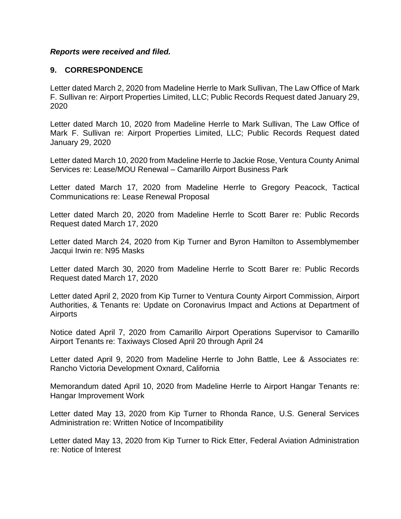#### *Reports were received and filed.*

### **9. CORRESPONDENCE**

Letter dated March 2, 2020 from Madeline Herrle to Mark Sullivan, The Law Office of Mark F. Sullivan re: Airport Properties Limited, LLC; Public Records Request dated January 29, 2020

Letter dated March 10, 2020 from Madeline Herrle to Mark Sullivan, The Law Office of Mark F. Sullivan re: Airport Properties Limited, LLC; Public Records Request dated January 29, 2020

Letter dated March 10, 2020 from Madeline Herrle to Jackie Rose, Ventura County Animal Services re: Lease/MOU Renewal – Camarillo Airport Business Park

Letter dated March 17, 2020 from Madeline Herrle to Gregory Peacock, Tactical Communications re: Lease Renewal Proposal

Letter dated March 20, 2020 from Madeline Herrle to Scott Barer re: Public Records Request dated March 17, 2020

Letter dated March 24, 2020 from Kip Turner and Byron Hamilton to Assemblymember Jacqui Irwin re: N95 Masks

Letter dated March 30, 2020 from Madeline Herrle to Scott Barer re: Public Records Request dated March 17, 2020

Letter dated April 2, 2020 from Kip Turner to Ventura County Airport Commission, Airport Authorities, & Tenants re: Update on Coronavirus Impact and Actions at Department of Airports

Notice dated April 7, 2020 from Camarillo Airport Operations Supervisor to Camarillo Airport Tenants re: Taxiways Closed April 20 through April 24

Letter dated April 9, 2020 from Madeline Herrle to John Battle, Lee & Associates re: Rancho Victoria Development Oxnard, California

Memorandum dated April 10, 2020 from Madeline Herrle to Airport Hangar Tenants re: Hangar Improvement Work

Letter dated May 13, 2020 from Kip Turner to Rhonda Rance, U.S. General Services Administration re: Written Notice of Incompatibility

Letter dated May 13, 2020 from Kip Turner to Rick Etter, Federal Aviation Administration re: Notice of Interest